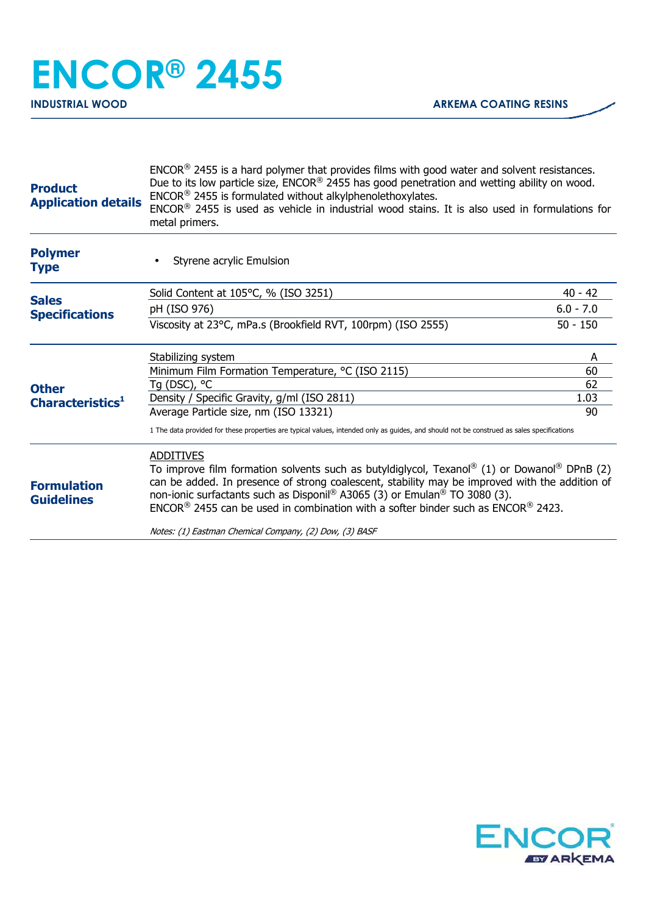| <b>Polymer</b><br>Styrene acrylic Emulsion<br><b>Type</b><br>Solid Content at 105°C, % (ISO 3251)<br>$40 - 42$<br><b>Sales</b><br>$6.0 - 7.0$<br>pH (ISO 976)<br><b>Specifications</b><br>Viscosity at 23°C, mPa.s (Brookfield RVT, 100rpm) (ISO 2555)<br>$50 - 150$<br>Stabilizing system<br>A<br>Minimum Film Formation Temperature, °C (ISO 2115)<br>60<br>Tg (DSC), °C<br>62<br><b>Other</b><br>1.03<br>Density / Specific Gravity, g/ml (ISO 2811)<br>Characteristics <sup>1</sup><br>Average Particle size, nm (ISO 13321)<br>90<br>1 The data provided for these properties are typical values, intended only as guides, and should not be construed as sales specifications<br><b>ADDITIVES</b><br>To improve film formation solvents such as butyldiglycol, Texanol® (1) or Dowanol® DPnB (2)<br>can be added. In presence of strong coalescent, stability may be improved with the addition of<br><b>Formulation</b><br>non-ionic surfactants such as Disponil® A3065 (3) or Emulan® TO 3080 (3).<br><b>Guidelines</b><br>$ENCOR®$ 2455 can be used in combination with a softer binder such as $ENCOR®$ 2423. | <b>Product</b><br><b>Application details</b> | $ENCOR®$ 2455 is a hard polymer that provides films with good water and solvent resistances.<br>Due to its low particle size, ENCOR® 2455 has good penetration and wetting ability on wood.<br>$ENCOR®$ 2455 is formulated without alkylphenolethoxylates.<br>$ENCOR®$ 2455 is used as vehicle in industrial wood stains. It is also used in formulations for<br>metal primers. |  |  |
|--------------------------------------------------------------------------------------------------------------------------------------------------------------------------------------------------------------------------------------------------------------------------------------------------------------------------------------------------------------------------------------------------------------------------------------------------------------------------------------------------------------------------------------------------------------------------------------------------------------------------------------------------------------------------------------------------------------------------------------------------------------------------------------------------------------------------------------------------------------------------------------------------------------------------------------------------------------------------------------------------------------------------------------------------------------------------------------------------------------------------|----------------------------------------------|---------------------------------------------------------------------------------------------------------------------------------------------------------------------------------------------------------------------------------------------------------------------------------------------------------------------------------------------------------------------------------|--|--|
|                                                                                                                                                                                                                                                                                                                                                                                                                                                                                                                                                                                                                                                                                                                                                                                                                                                                                                                                                                                                                                                                                                                          |                                              |                                                                                                                                                                                                                                                                                                                                                                                 |  |  |
|                                                                                                                                                                                                                                                                                                                                                                                                                                                                                                                                                                                                                                                                                                                                                                                                                                                                                                                                                                                                                                                                                                                          |                                              |                                                                                                                                                                                                                                                                                                                                                                                 |  |  |
|                                                                                                                                                                                                                                                                                                                                                                                                                                                                                                                                                                                                                                                                                                                                                                                                                                                                                                                                                                                                                                                                                                                          |                                              |                                                                                                                                                                                                                                                                                                                                                                                 |  |  |
|                                                                                                                                                                                                                                                                                                                                                                                                                                                                                                                                                                                                                                                                                                                                                                                                                                                                                                                                                                                                                                                                                                                          |                                              |                                                                                                                                                                                                                                                                                                                                                                                 |  |  |
|                                                                                                                                                                                                                                                                                                                                                                                                                                                                                                                                                                                                                                                                                                                                                                                                                                                                                                                                                                                                                                                                                                                          |                                              |                                                                                                                                                                                                                                                                                                                                                                                 |  |  |
|                                                                                                                                                                                                                                                                                                                                                                                                                                                                                                                                                                                                                                                                                                                                                                                                                                                                                                                                                                                                                                                                                                                          |                                              |                                                                                                                                                                                                                                                                                                                                                                                 |  |  |
|                                                                                                                                                                                                                                                                                                                                                                                                                                                                                                                                                                                                                                                                                                                                                                                                                                                                                                                                                                                                                                                                                                                          |                                              |                                                                                                                                                                                                                                                                                                                                                                                 |  |  |
|                                                                                                                                                                                                                                                                                                                                                                                                                                                                                                                                                                                                                                                                                                                                                                                                                                                                                                                                                                                                                                                                                                                          |                                              |                                                                                                                                                                                                                                                                                                                                                                                 |  |  |
|                                                                                                                                                                                                                                                                                                                                                                                                                                                                                                                                                                                                                                                                                                                                                                                                                                                                                                                                                                                                                                                                                                                          |                                              |                                                                                                                                                                                                                                                                                                                                                                                 |  |  |
|                                                                                                                                                                                                                                                                                                                                                                                                                                                                                                                                                                                                                                                                                                                                                                                                                                                                                                                                                                                                                                                                                                                          |                                              |                                                                                                                                                                                                                                                                                                                                                                                 |  |  |
|                                                                                                                                                                                                                                                                                                                                                                                                                                                                                                                                                                                                                                                                                                                                                                                                                                                                                                                                                                                                                                                                                                                          |                                              | Notes: (1) Eastman Chemical Company, (2) Dow, (3) BASF                                                                                                                                                                                                                                                                                                                          |  |  |